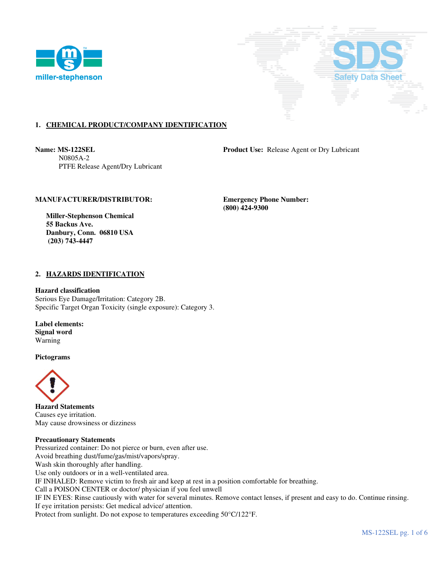



# **1. CHEMICAL PRODUCT/COMPANY IDENTIFICATION**

 N0805A-2 PTFE Release Agent/Dry Lubricant

**Name: MS-122SEL Product Use:** Release Agent or Dry Lubricant

# **MANUFACTURER/DISTRIBUTOR: Emergency Phone Number:**

 **(800) 424-9300** 

 **Miller-Stephenson Chemical 55 Backus Ave. Danbury, Conn. 06810 USA (203) 743-4447** 

# **2. HAZARDS IDENTIFICATION**

**Hazard classification** 

Serious Eye Damage/Irritation: Category 2B. Specific Target Organ Toxicity (single exposure): Category 3.

**Label elements: Signal word**  Warning

**Pictograms**



**Hazard Statements**  Causes eye irritation. May cause drowsiness or dizziness

## **Precautionary Statements**

Pressurized container: Do not pierce or burn, even after use. Avoid breathing dust/fume/gas/mist/vapors/spray. Wash skin thoroughly after handling. Use only outdoors or in a well-ventilated area. IF INHALED: Remove victim to fresh air and keep at rest in a position comfortable for breathing. Call a POISON CENTER or doctor/ physician if you feel unwell IF IN EYES: Rinse cautiously with water for several minutes. Remove contact lenses, if present and easy to do. Continue rinsing. If eye irritation persists: Get medical advice/ attention. Protect from sunlight. Do not expose to temperatures exceeding 50°C/122°F.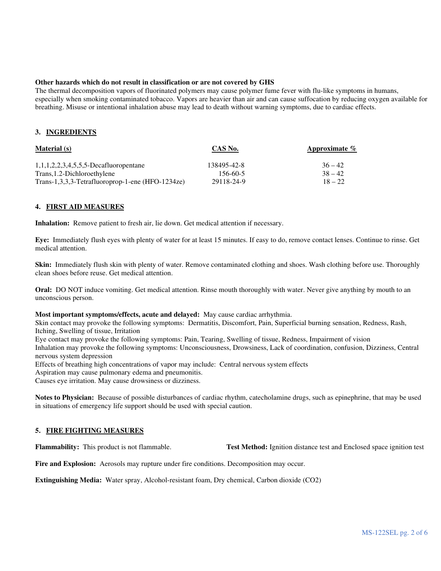## **Other hazards which do not result in classification or are not covered by GHS**

The thermal decomposition vapors of fluorinated polymers may cause polymer fume fever with flu-like symptoms in humans, especially when smoking contaminated tobacco. Vapors are heavier than air and can cause suffocation by reducing oxygen available for breathing. Misuse or intentional inhalation abuse may lead to death without warning symptoms, due to cardiac effects.

# **3. INGREDIENTS**

| <b>Material</b> (s)                              | CAS No.     | Approximate $\%$ |
|--------------------------------------------------|-------------|------------------|
| $1,1,1,2,2,3,4,5,5,5$ -Decafluoropentane         | 138495-42-8 | $36 - 42$        |
| Trans, 1.2-Dichloroethylene                      | 156-60-5    | $38 - 42$        |
| Trans-1,3,3,3-Tetrafluoroprop-1-ene (HFO-1234ze) | 29118-24-9  | $18 - 22$        |

## **4. FIRST AID MEASURES**

**Inhalation:** Remove patient to fresh air, lie down. Get medical attention if necessary.

**Eye:** Immediately flush eyes with plenty of water for at least 15 minutes. If easy to do, remove contact lenses. Continue to rinse. Get medical attention.

**Skin:** Immediately flush skin with plenty of water. Remove contaminated clothing and shoes. Wash clothing before use. Thoroughly clean shoes before reuse. Get medical attention.

**Oral:** DO NOT induce vomiting. Get medical attention. Rinse mouth thoroughly with water. Never give anything by mouth to an unconscious person.

## **Most important symptoms/effects, acute and delayed:** May cause cardiac arrhythmia.

Skin contact may provoke the following symptoms: Dermatitis, Discomfort, Pain, Superficial burning sensation, Redness, Rash, Itching, Swelling of tissue, Irritation

Eye contact may provoke the following symptoms: Pain, Tearing, Swelling of tissue, Redness, Impairment of vision

Inhalation may provoke the following symptoms: Unconsciousness, Drowsiness, Lack of coordination, confusion, Dizziness, Central nervous system depression

Effects of breathing high concentrations of vapor may include: Central nervous system effects

Aspiration may cause pulmonary edema and pneumonitis.

Causes eye irritation. May cause drowsiness or dizziness.

**Notes to Physician:** Because of possible disturbances of cardiac rhythm, catecholamine drugs, such as epinephrine, that may be used in situations of emergency life support should be used with special caution.

# **5. FIRE FIGHTING MEASURES**

**Flammability:** This product is not flammable. **Test Method:** Ignition distance test and Enclosed space ignition test

**Fire and Explosion:** Aerosols may rupture under fire conditions. Decomposition may occur.

**Extinguishing Media:** Water spray, Alcohol-resistant foam, Dry chemical, Carbon dioxide (CO2)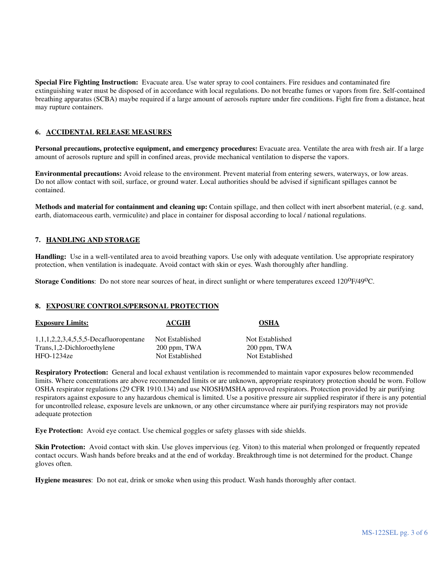**Special Fire Fighting Instruction:** Evacuate area. Use water spray to cool containers. Fire residues and contaminated fire extinguishing water must be disposed of in accordance with local regulations. Do not breathe fumes or vapors from fire. Self-contained breathing apparatus (SCBA) maybe required if a large amount of aerosols rupture under fire conditions. Fight fire from a distance, heat may rupture containers.

# **6. ACCIDENTAL RELEASE MEASURES**

**Personal precautions, protective equipment, and emergency procedures:** Evacuate area. Ventilate the area with fresh air. If a large amount of aerosols rupture and spill in confined areas, provide mechanical ventilation to disperse the vapors.

**Environmental precautions:** Avoid release to the environment. Prevent material from entering sewers, waterways, or low areas. Do not allow contact with soil, surface, or ground water. Local authorities should be advised if significant spillages cannot be contained.

**Methods and material for containment and cleaning up:** Contain spillage, and then collect with inert absorbent material, (e.g. sand, earth, diatomaceous earth, vermiculite) and place in container for disposal according to local / national regulations.

# **7. HANDLING AND STORAGE**

**Handling:** Use in a well-ventilated area to avoid breathing vapors. Use only with adequate ventilation. Use appropriate respiratory protection, when ventilation is inadequate. Avoid contact with skin or eyes. Wash thoroughly after handling.

**Storage Conditions**: Do not store near sources of heat, in direct sunlight or where temperatures exceed 120<sup>o</sup>F/49<sup>o</sup>C.

## **8. EXPOSURE CONTROLS/PERSONAL PROTECTION**

| <b>Exposure Limits:</b>                  | <b>ACGIH</b>    | <b>OSHA</b>     |
|------------------------------------------|-----------------|-----------------|
| $1,1,1,2,2,3,4,5,5,5$ -Decafluoropentane | Not Established | Not Established |
| Trans, 1, 2-Dichloroethylene             | 200 ppm, TWA    | 200 ppm, TWA    |
| $HFO-1234ze$                             | Not Established | Not Established |

**Respiratory Protection:** General and local exhaust ventilation is recommended to maintain vapor exposures below recommended limits. Where concentrations are above recommended limits or are unknown, appropriate respiratory protection should be worn. Follow OSHA respirator regulations (29 CFR 1910.134) and use NIOSH/MSHA approved respirators. Protection provided by air purifying respirators against exposure to any hazardous chemical is limited. Use a positive pressure air supplied respirator if there is any potential for uncontrolled release, exposure levels are unknown, or any other circumstance where air purifying respirators may not provide adequate protection

**Eye Protection:** Avoid eye contact. Use chemical goggles or safety glasses with side shields.

**Skin Protection:** Avoid contact with skin. Use gloves impervious (eg. Viton) to this material when prolonged or frequently repeated contact occurs. Wash hands before breaks and at the end of workday. Breakthrough time is not determined for the product. Change gloves often.

**Hygiene measures**: Do not eat, drink or smoke when using this product. Wash hands thoroughly after contact.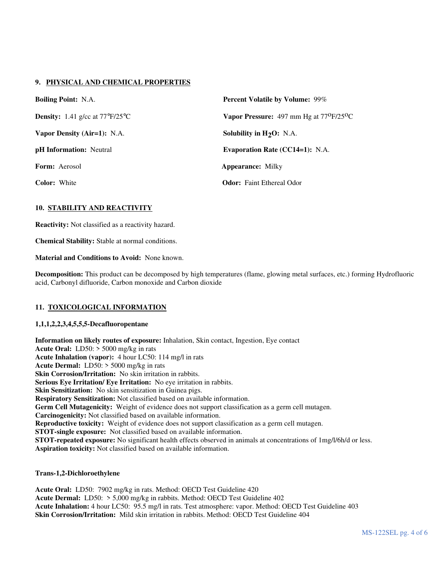# **9. PHYSICAL AND CHEMICAL PROPERTIES**

| <b>Boiling Point: N.A.</b>                             | <b>Percent Volatile by Volume: 99%</b>                        |  |
|--------------------------------------------------------|---------------------------------------------------------------|--|
| <b>Density:</b> 1.41 g/cc at $77^{\circ}F/25^{\circ}C$ | <b>Vapor Pressure:</b> 497 mm Hg at $77^{\circ}F/25^{\circ}C$ |  |
| Vapor Density (Air=1): N.A.                            | Solubility in $H_2O$ : N.A.                                   |  |
| <b>pH</b> Information: Neutral                         | <b>Evaporation Rate (CC14=1):</b> N.A.                        |  |
| <b>Form:</b> Aerosol                                   | <b>Appearance:</b> Milky                                      |  |
| <b>Color:</b> White                                    | <b>Odor:</b> Faint Ethereal Odor                              |  |

# **10. STABILITY AND REACTIVITY**

**Reactivity:** Not classified as a reactivity hazard.

**Chemical Stability:** Stable at normal conditions.

**Material and Conditions to Avoid:** None known.

**Decomposition:** This product can be decomposed by high temperatures (flame, glowing metal surfaces, etc.) forming Hydrofluoric acid, Carbonyl difluoride, Carbon monoxide and Carbon dioxide

# **11. TOXICOLOGICAL INFORMATION**

# **1,1,1,2,2,3,4,5,5,5-Decafluoropentane**

**Information on likely routes of exposure:** Inhalation, Skin contact, Ingestion, Eye contact **Acute Oral:** LD50: > 5000 mg/kg in rats **Acute Inhalation (vapor):** 4 hour LC50: 114 mg/l in rats **Acute Dermal:** LD50: > 5000 mg/kg in rats **Skin Corrosion/Irritation:** No skin irritation in rabbits. **Serious Eye Irritation/ Eye Irritation:** No eye irritation in rabbits. **Skin Sensitization:** No skin sensitization in Guinea pigs. **Respiratory Sensitization:** Not classified based on available information. **Germ Cell Mutagenicity:** Weight of evidence does not support classification as a germ cell mutagen. **Carcinogenicity:** Not classified based on available information. **Reproductive toxicity:** Weight of evidence does not support classification as a germ cell mutagen. **STOT-single exposure:** Not classified based on available information. **STOT-repeated exposure:** No significant health effects observed in animals at concentrations of 1mg/l/6h/d or less. **Aspiration toxicity:** Not classified based on available information.

# **Trans-1,2-Dichloroethylene**

**Acute Oral:** LD50: 7902 mg/kg in rats. Method: OECD Test Guideline 420 **Acute Dermal:** LD50: > 5,000 mg/kg in rabbits. Method: OECD Test Guideline 402 **Acute Inhalation:** 4 hour LC50: 95.5 mg/l in rats. Test atmosphere: vapor. Method: OECD Test Guideline 403 **Skin Corrosion/Irritation:** Mild skin irritation in rabbits. Method: OECD Test Guideline 404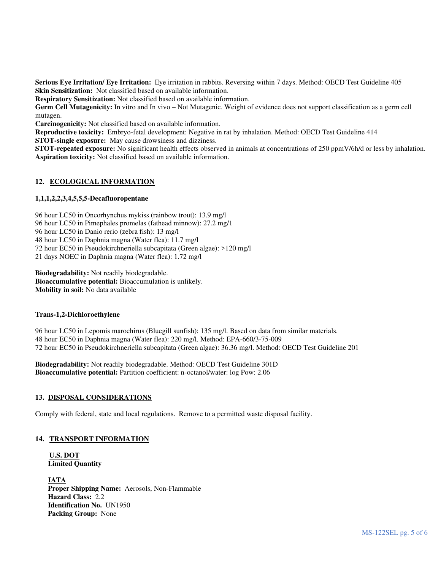**Serious Eye Irritation/ Eye Irritation:** Eye irritation in rabbits. Reversing within 7 days. Method: OECD Test Guideline 405 **Skin Sensitization:** Not classified based on available information.

**Respiratory Sensitization:** Not classified based on available information.

**Germ Cell Mutagenicity:** In vitro and In vivo – Not Mutagenic. Weight of evidence does not support classification as a germ cell mutagen.

**Carcinogenicity:** Not classified based on available information.

**Reproductive toxicity:** Embryo-fetal development: Negative in rat by inhalation. Method: OECD Test Guideline 414 **STOT-single exposure:** May cause drowsiness and dizziness.

**STOT-repeated exposure:** No significant health effects observed in animals at concentrations of 250 ppmV/6h/d or less by inhalation. **Aspiration toxicity:** Not classified based on available information.

# **12. ECOLOGICAL INFORMATION**

# **1,1,1,2,2,3,4,5,5,5-Decafluoropentane**

96 hour LC50 in Oncorhynchus mykiss (rainbow trout): 13.9 mg/l

96 hour LC50 in Pimephales promelas (fathead minnow): 27.2 mg/1

96 hour LC50 in Danio rerio (zebra fish): 13 mg/l

48 hour LC50 in Daphnia magna (Water flea): 11.7 mg/l

72 hour EC50 in Pseudokirchneriella subcapitata (Green algae): >120 mg/l

21 days NOEC in Daphnia magna (Water flea): 1.72 mg/l

**Biodegradability:** Not readily biodegradable.

**Bioaccumulative potential:** Bioaccumulation is unlikely.

**Mobility in soil:** No data available

## **Trans-1,2-Dichloroethylene**

96 hour LC50 in Lepomis marochirus (Bluegill sunfish): 135 mg/l. Based on data from similar materials. 48 hour EC50 in Daphnia magna (Water flea): 220 mg/l. Method: EPA-660/3-75-009 72 hour EC50 in Pseudokirchneriella subcapitata (Green algae): 36.36 mg/l. Method: OECD Test Guideline 201

**Biodegradability:** Not readily biodegradable. Method: OECD Test Guideline 301D **Bioaccumulative potential:** Partition coefficient: n-octanol/water: log Pow: 2.06

## **13. DISPOSAL CONSIDERATIONS**

Comply with federal, state and local regulations. Remove to a permitted waste disposal facility.

## **14. TRANSPORT INFORMATION**

**U.S. DOT Limited Quantity** 

**IATA Proper Shipping Name:** Aerosols, Non-Flammable **Hazard Class:** 2.2 **Identification No.** UN1950 **Packing Group:** None